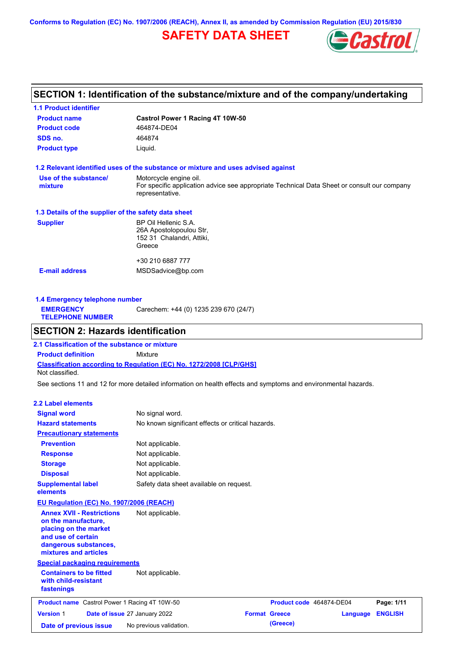**Conforms to Regulation (EC) No. 1907/2006 (REACH), Annex II, as amended by Commission Regulation (EU) 2015/830**

# **SAFETY DATA SHEET**



# **SECTION 1: Identification of the substance/mixture and of the company/undertaking**

| <b>1.1 Product identifier</b>                        |                                                                                                                                          |
|------------------------------------------------------|------------------------------------------------------------------------------------------------------------------------------------------|
| <b>Product name</b>                                  | Castrol Power 1 Racing 4T 10W-50                                                                                                         |
| <b>Product code</b>                                  | 464874-DE04                                                                                                                              |
| SDS no.                                              | 464874                                                                                                                                   |
| <b>Product type</b>                                  | Liquid.                                                                                                                                  |
|                                                      | 1.2 Relevant identified uses of the substance or mixture and uses advised against                                                        |
| Use of the substance/<br>mixture                     | Motorcycle engine oil.<br>For specific application advice see appropriate Technical Data Sheet or consult our company<br>representative. |
| 1.3 Details of the supplier of the safety data sheet |                                                                                                                                          |
| <b>Supplier</b>                                      | BP Oil Hellenic S.A.<br>26A Apostolopoulou Str,<br>152 31 Chalandri, Attiki,<br>Greece                                                   |
|                                                      | +30 210 6887 777                                                                                                                         |
| <b>E-mail address</b>                                | MSDSadvice@bp.com                                                                                                                        |
|                                                      |                                                                                                                                          |

**1.4 Emergency telephone number EMERGENCY TELEPHONE NUMBER** Carechem: +44 (0) 1235 239 670 (24/7)

## **SECTION 2: Hazards identification**

**Classification according to Regulation (EC) No. 1272/2008 [CLP/GHS] 2.1 Classification of the substance or mixture Product definition** Mixture Not classified.

See sections 11 and 12 for more detailed information on health effects and symptoms and environmental hazards.

### **2.2 Label elements**

| <b>Signal word</b>                                                                                                                                       | No signal word.                                   |                      |                          |          |                |
|----------------------------------------------------------------------------------------------------------------------------------------------------------|---------------------------------------------------|----------------------|--------------------------|----------|----------------|
| <b>Hazard statements</b>                                                                                                                                 | No known significant effects or critical hazards. |                      |                          |          |                |
| <b>Precautionary statements</b>                                                                                                                          |                                                   |                      |                          |          |                |
| <b>Prevention</b>                                                                                                                                        | Not applicable.                                   |                      |                          |          |                |
| <b>Response</b>                                                                                                                                          | Not applicable.                                   |                      |                          |          |                |
| <b>Storage</b>                                                                                                                                           | Not applicable.                                   |                      |                          |          |                |
| <b>Disposal</b>                                                                                                                                          | Not applicable.                                   |                      |                          |          |                |
| <b>Supplemental label</b><br>elements                                                                                                                    | Safety data sheet available on request.           |                      |                          |          |                |
| EU Regulation (EC) No. 1907/2006 (REACH)                                                                                                                 |                                                   |                      |                          |          |                |
| <b>Annex XVII - Restrictions</b><br>on the manufacture,<br>placing on the market<br>and use of certain<br>dangerous substances,<br>mixtures and articles | Not applicable.                                   |                      |                          |          |                |
| <b>Special packaging requirements</b>                                                                                                                    |                                                   |                      |                          |          |                |
| <b>Containers to be fitted</b><br>with child-resistant<br>fastenings                                                                                     | Not applicable.                                   |                      |                          |          |                |
| <b>Product name</b> Castrol Power 1 Racing 4T 10W-50                                                                                                     |                                                   |                      | Product code 464874-DE04 |          | Page: 1/11     |
| <b>Version 1</b>                                                                                                                                         | Date of issue 27 January 2022                     | <b>Format Greece</b> |                          | Language | <b>ENGLISH</b> |
| Date of previous issue                                                                                                                                   | No previous validation.                           |                      | (Greece)                 |          |                |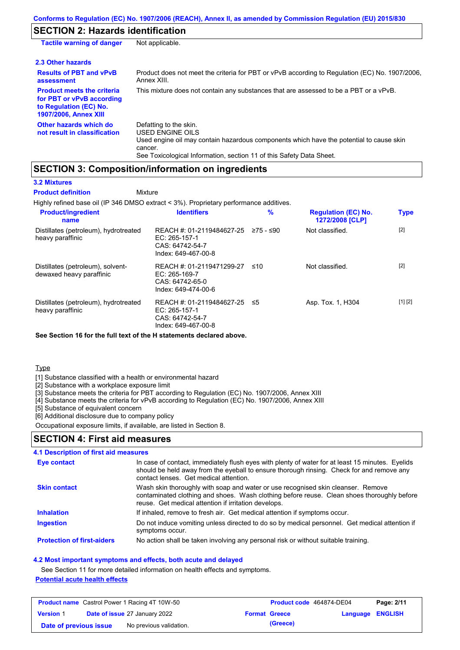## **SECTION 2: Hazards identification**

| <b>Tactile warning of danger</b>                                                                                         | Not applicable.                                                                                                                                                                                                          |
|--------------------------------------------------------------------------------------------------------------------------|--------------------------------------------------------------------------------------------------------------------------------------------------------------------------------------------------------------------------|
| 2.3 Other hazards                                                                                                        |                                                                                                                                                                                                                          |
| <b>Results of PBT and vPvB</b><br>assessment                                                                             | Product does not meet the criteria for PBT or vPvB according to Regulation (EC) No. 1907/2006.<br>Annex XIII.                                                                                                            |
| <b>Product meets the criteria</b><br>for PBT or vPvB according<br>to Regulation (EC) No.<br><b>1907/2006, Annex XIII</b> | This mixture does not contain any substances that are assessed to be a PBT or a vPvB.                                                                                                                                    |
| Other hazards which do<br>not result in classification                                                                   | Defatting to the skin.<br>USED ENGINE OILS<br>Used engine oil may contain hazardous components which have the potential to cause skin<br>cancer.<br>See Toxicological Information, section 11 of this Safety Data Sheet. |

## **SECTION 3: Composition/information on ingredients**

### **3.2 Mixtures**

Highly refined base oil (IP 346 DMSO extract < 3%). Proprietary performance additives. Distillates (petroleum), hydrotreated heavy paraffinic REACH #: 01-2119484627-25 EC: 265-157-1 CAS: 64742-54-7 Index: 649-467-00-8 Not classified. [2] Distillates (petroleum), solventdewaxed heavy paraffinic REACH #: 01-2119471299-27 EC: 265-169-7 CAS: 64742-65-0 Index: 649-474-00-6 Not classified. [2] Distillates (petroleum), hydrotreated heavy paraffinic REACH #: 01-2119484627-25 EC: 265-157-1 CAS: 64742-54-7 Index: 649-467-00-8 Asp. Tox. 1, H304 [1] [2] **Product/ingredient name % Regulation (EC) No. Identifiers Type 1272/2008 [CLP] Mixture Product definition**

**See Section 16 for the full text of the H statements declared above.**

Type

[1] Substance classified with a health or environmental hazard

[2] Substance with a workplace exposure limit

[3] Substance meets the criteria for PBT according to Regulation (EC) No. 1907/2006, Annex XIII

[4] Substance meets the criteria for vPvB according to Regulation (EC) No. 1907/2006, Annex XIII

[5] Substance of equivalent concern

[6] Additional disclosure due to company policy

Occupational exposure limits, if available, are listed in Section 8.

## **SECTION 4: First aid measures**

### **4.1 Description of first aid measures**

| Eye contact                       | In case of contact, immediately flush eyes with plenty of water for at least 15 minutes. Eyelids<br>should be held away from the eyeball to ensure thorough rinsing. Check for and remove any<br>contact lenses. Get medical attention. |
|-----------------------------------|-----------------------------------------------------------------------------------------------------------------------------------------------------------------------------------------------------------------------------------------|
| <b>Skin contact</b>               | Wash skin thoroughly with soap and water or use recognised skin cleanser. Remove<br>contaminated clothing and shoes. Wash clothing before reuse. Clean shoes thoroughly before<br>reuse. Get medical attention if irritation develops.  |
| <b>Inhalation</b>                 | If inhaled, remove to fresh air. Get medical attention if symptoms occur.                                                                                                                                                               |
| <b>Ingestion</b>                  | Do not induce vomiting unless directed to do so by medical personnel. Get medical attention if<br>symptoms occur.                                                                                                                       |
| <b>Protection of first-aiders</b> | No action shall be taken involving any personal risk or without suitable training.                                                                                                                                                      |

#### **4.2 Most important symptoms and effects, both acute and delayed**

See Section 11 for more detailed information on health effects and symptoms.

### **Potential acute health effects**

| <b>Product name</b> Castrol Power 1 Racing 4T 10W-50 |  |                                      | Product code 464874-DE04 | Page: 2/11           |                  |  |
|------------------------------------------------------|--|--------------------------------------|--------------------------|----------------------|------------------|--|
| <b>Version 1</b>                                     |  | <b>Date of issue 27 January 2022</b> |                          | <b>Format Greece</b> | Language ENGLISH |  |
| Date of previous issue                               |  | No previous validation.              |                          | (Greece)             |                  |  |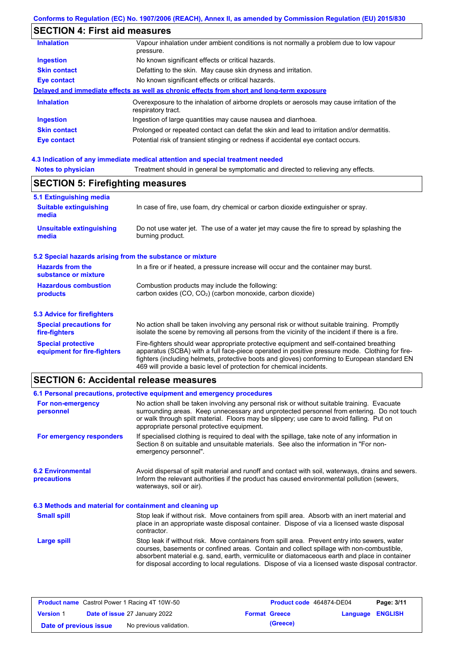# **SECTION 4: First aid measures**

| <b>Inhalation</b><br>Vapour inhalation under ambient conditions is not normally a problem due to low vapour                            |  |
|----------------------------------------------------------------------------------------------------------------------------------------|--|
| pressure.                                                                                                                              |  |
| <b>Ingestion</b><br>No known significant effects or critical hazards.                                                                  |  |
| <b>Skin contact</b><br>Defatting to the skin. May cause skin dryness and irritation.                                                   |  |
| No known significant effects or critical hazards.<br><b>Eye contact</b>                                                                |  |
| Delayed and immediate effects as well as chronic effects from short and long-term exposure                                             |  |
| <b>Inhalation</b><br>Overexposure to the inhalation of airborne droplets or aerosols may cause irritation of the<br>respiratory tract. |  |
| <b>Ingestion</b><br>Ingestion of large quantities may cause nausea and diarrhoea.                                                      |  |
| <b>Skin contact</b><br>Prolonged or repeated contact can defat the skin and lead to irritation and/or dermatitis.                      |  |
| Potential risk of transient stinging or redness if accidental eye contact occurs.<br>Eye contact                                       |  |

# **4.3 Indication of any immediate medical attention and special treatment needed**

| <b>Notes to physician</b> | Treatment should in general be symptomatic and directed to relieving any effects. |  |
|---------------------------|-----------------------------------------------------------------------------------|--|
|---------------------------|-----------------------------------------------------------------------------------|--|

| <b>SECTION 5: Firefighting measures</b> |
|-----------------------------------------|
|-----------------------------------------|

| 5.1 Extinguishing media                                   |                                                                                                                                                                                                                                                                                                                                                                   |
|-----------------------------------------------------------|-------------------------------------------------------------------------------------------------------------------------------------------------------------------------------------------------------------------------------------------------------------------------------------------------------------------------------------------------------------------|
| <b>Suitable extinguishing</b><br>media                    | In case of fire, use foam, dry chemical or carbon dioxide extinguisher or spray.                                                                                                                                                                                                                                                                                  |
| <b>Unsuitable extinguishing</b><br>media                  | Do not use water jet. The use of a water jet may cause the fire to spread by splashing the<br>burning product.                                                                                                                                                                                                                                                    |
| 5.2 Special hazards arising from the substance or mixture |                                                                                                                                                                                                                                                                                                                                                                   |
| <b>Hazards from the</b><br>substance or mixture           | In a fire or if heated, a pressure increase will occur and the container may burst.                                                                                                                                                                                                                                                                               |
| <b>Hazardous combustion</b><br>products                   | Combustion products may include the following:<br>carbon oxides $(CO, CO2)$ (carbon monoxide, carbon dioxide)                                                                                                                                                                                                                                                     |
| 5.3 Advice for firefighters                               |                                                                                                                                                                                                                                                                                                                                                                   |
| <b>Special precautions for</b><br>fire-fighters           | No action shall be taken involving any personal risk or without suitable training. Promptly<br>isolate the scene by removing all persons from the vicinity of the incident if there is a fire.                                                                                                                                                                    |
| <b>Special protective</b><br>equipment for fire-fighters  | Fire-fighters should wear appropriate protective equipment and self-contained breathing<br>apparatus (SCBA) with a full face-piece operated in positive pressure mode. Clothing for fire-<br>fighters (including helmets, protective boots and gloves) conforming to European standard EN<br>469 will provide a basic level of protection for chemical incidents. |

# **SECTION 6: Accidental release measures**

|                                                          | 6.1 Personal precautions, protective equipment and emergency procedures                                                                                                                                                                                                                                                                                                                        |  |  |  |
|----------------------------------------------------------|------------------------------------------------------------------------------------------------------------------------------------------------------------------------------------------------------------------------------------------------------------------------------------------------------------------------------------------------------------------------------------------------|--|--|--|
| For non-emergency<br>personnel                           | No action shall be taken involving any personal risk or without suitable training. Evacuate<br>surrounding areas. Keep unnecessary and unprotected personnel from entering. Do not touch<br>or walk through spilt material. Floors may be slippery; use care to avoid falling. Put on<br>appropriate personal protective equipment.                                                            |  |  |  |
| For emergency responders                                 | If specialised clothing is required to deal with the spillage, take note of any information in<br>Section 8 on suitable and unsuitable materials. See also the information in "For non-<br>emergency personnel".                                                                                                                                                                               |  |  |  |
| <b>6.2 Environmental</b><br>precautions                  | Avoid dispersal of spilt material and runoff and contact with soil, waterways, drains and sewers.<br>Inform the relevant authorities if the product has caused environmental pollution (sewers,<br>waterways, soil or air).                                                                                                                                                                    |  |  |  |
| 6.3 Methods and material for containment and cleaning up |                                                                                                                                                                                                                                                                                                                                                                                                |  |  |  |
| <b>Small spill</b>                                       | Stop leak if without risk. Move containers from spill area. Absorb with an inert material and<br>place in an appropriate waste disposal container. Dispose of via a licensed waste disposal<br>contractor.                                                                                                                                                                                     |  |  |  |
| Large spill                                              | Stop leak if without risk. Move containers from spill area. Prevent entry into sewers, water<br>courses, basements or confined areas. Contain and collect spillage with non-combustible,<br>absorbent material e.g. sand, earth, vermiculite or diatomaceous earth and place in container<br>for disposal according to local regulations. Dispose of via a licensed waste disposal contractor. |  |  |  |

| <b>Product name</b> Castrol Power 1 Racing 4T 10W-50 |  | <b>Product code</b> 464874-DE04      |  | Page: 3/11           |                         |  |
|------------------------------------------------------|--|--------------------------------------|--|----------------------|-------------------------|--|
| <b>Version 1</b>                                     |  | <b>Date of issue 27 January 2022</b> |  | <b>Format Greece</b> | <b>Language ENGLISH</b> |  |
| Date of previous issue                               |  | No previous validation.              |  | (Greece)             |                         |  |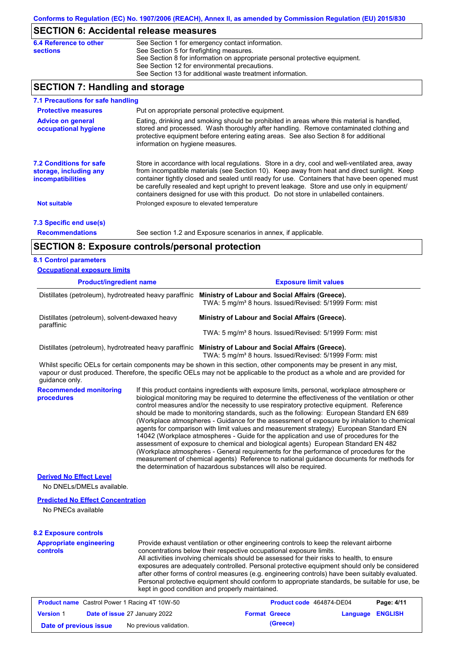# **SECTION 6: Accidental release measures**

| 6.4 Reference to other | See Section 1 for emergency contact information.                            |
|------------------------|-----------------------------------------------------------------------------|
| <b>sections</b>        | See Section 5 for firefighting measures.                                    |
|                        | See Section 8 for information on appropriate personal protective equipment. |
|                        | See Section 12 for environmental precautions.                               |
|                        | See Section 13 for additional waste treatment information.                  |

# **SECTION 7: Handling and storage**

| 7.1 Precautions for safe handling                                                    |                                                                                                                                                                                                                                                                                                                                                                                                                                                                                          |  |  |  |
|--------------------------------------------------------------------------------------|------------------------------------------------------------------------------------------------------------------------------------------------------------------------------------------------------------------------------------------------------------------------------------------------------------------------------------------------------------------------------------------------------------------------------------------------------------------------------------------|--|--|--|
| <b>Protective measures</b>                                                           | Put on appropriate personal protective equipment.                                                                                                                                                                                                                                                                                                                                                                                                                                        |  |  |  |
| <b>Advice on general</b><br>occupational hygiene                                     | Eating, drinking and smoking should be prohibited in areas where this material is handled,<br>stored and processed. Wash thoroughly after handling. Remove contaminated clothing and<br>protective equipment before entering eating areas. See also Section 8 for additional<br>information on hygiene measures.                                                                                                                                                                         |  |  |  |
| <b>7.2 Conditions for safe</b><br>storage, including any<br><b>incompatibilities</b> | Store in accordance with local regulations. Store in a dry, cool and well-ventilated area, away<br>from incompatible materials (see Section 10). Keep away from heat and direct sunlight. Keep<br>container tightly closed and sealed until ready for use. Containers that have been opened must<br>be carefully resealed and kept upright to prevent leakage. Store and use only in equipment/<br>containers designed for use with this product. Do not store in unlabelled containers. |  |  |  |
| <b>Not suitable</b>                                                                  | Prolonged exposure to elevated temperature                                                                                                                                                                                                                                                                                                                                                                                                                                               |  |  |  |
| 7.3 Specific end use(s)                                                              |                                                                                                                                                                                                                                                                                                                                                                                                                                                                                          |  |  |  |
| <b>Recommendations</b>                                                               | See section 1.2 and Exposure scenarios in annex, if applicable.                                                                                                                                                                                                                                                                                                                                                                                                                          |  |  |  |
| <b>SECTION 8: Exposure controls/personal protection</b>                              |                                                                                                                                                                                                                                                                                                                                                                                                                                                                                          |  |  |  |

### **8.1 Control parameters**

Π

| <b>Occupational exposure limits</b>                          |                                                                                                                                                                                                                                                                                                                                                                                                                                                                                                                                                                                                                                                                                                                                                                                                                                                                                                                                                                                                                            |                                                                                                                                                                                                                                                                                                                                                                                                                                                                                                                                                                                                                      |  |  |  |
|--------------------------------------------------------------|----------------------------------------------------------------------------------------------------------------------------------------------------------------------------------------------------------------------------------------------------------------------------------------------------------------------------------------------------------------------------------------------------------------------------------------------------------------------------------------------------------------------------------------------------------------------------------------------------------------------------------------------------------------------------------------------------------------------------------------------------------------------------------------------------------------------------------------------------------------------------------------------------------------------------------------------------------------------------------------------------------------------------|----------------------------------------------------------------------------------------------------------------------------------------------------------------------------------------------------------------------------------------------------------------------------------------------------------------------------------------------------------------------------------------------------------------------------------------------------------------------------------------------------------------------------------------------------------------------------------------------------------------------|--|--|--|
| <b>Product/ingredient name</b>                               |                                                                                                                                                                                                                                                                                                                                                                                                                                                                                                                                                                                                                                                                                                                                                                                                                                                                                                                                                                                                                            | <b>Exposure limit values</b><br>Distillates (petroleum), hydrotreated heavy paraffinic Ministry of Labour and Social Affairs (Greece).<br>TWA: 5 mg/m <sup>3</sup> 8 hours. Issued/Revised: 5/1999 Form: mist                                                                                                                                                                                                                                                                                                                                                                                                        |  |  |  |
|                                                              |                                                                                                                                                                                                                                                                                                                                                                                                                                                                                                                                                                                                                                                                                                                                                                                                                                                                                                                                                                                                                            |                                                                                                                                                                                                                                                                                                                                                                                                                                                                                                                                                                                                                      |  |  |  |
| Distillates (petroleum), solvent-dewaxed heavy<br>paraffinic |                                                                                                                                                                                                                                                                                                                                                                                                                                                                                                                                                                                                                                                                                                                                                                                                                                                                                                                                                                                                                            | Ministry of Labour and Social Affairs (Greece).                                                                                                                                                                                                                                                                                                                                                                                                                                                                                                                                                                      |  |  |  |
|                                                              |                                                                                                                                                                                                                                                                                                                                                                                                                                                                                                                                                                                                                                                                                                                                                                                                                                                                                                                                                                                                                            | TWA: 5 mg/m <sup>3</sup> 8 hours. Issued/Revised: 5/1999 Form: mist                                                                                                                                                                                                                                                                                                                                                                                                                                                                                                                                                  |  |  |  |
|                                                              |                                                                                                                                                                                                                                                                                                                                                                                                                                                                                                                                                                                                                                                                                                                                                                                                                                                                                                                                                                                                                            | Distillates (petroleum), hydrotreated heavy paraffinic Ministry of Labour and Social Affairs (Greece).<br>TWA: 5 mg/m <sup>3</sup> 8 hours. Issued/Revised: 5/1999 Form: mist                                                                                                                                                                                                                                                                                                                                                                                                                                        |  |  |  |
| guidance only.                                               |                                                                                                                                                                                                                                                                                                                                                                                                                                                                                                                                                                                                                                                                                                                                                                                                                                                                                                                                                                                                                            | Whilst specific OELs for certain components may be shown in this section, other components may be present in any mist,<br>vapour or dust produced. Therefore, the specific OELs may not be applicable to the product as a whole and are provided for                                                                                                                                                                                                                                                                                                                                                                 |  |  |  |
| <b>Recommended monitoring</b><br>procedures                  | If this product contains ingredients with exposure limits, personal, workplace atmosphere or<br>biological monitoring may be required to determine the effectiveness of the ventilation or other<br>control measures and/or the necessity to use respiratory protective equipment. Reference<br>should be made to monitoring standards, such as the following: European Standard EN 689<br>(Workplace atmospheres - Guidance for the assessment of exposure by inhalation to chemical<br>agents for comparison with limit values and measurement strategy) European Standard EN<br>14042 (Workplace atmospheres - Guide for the application and use of procedures for the<br>assessment of exposure to chemical and biological agents) European Standard EN 482<br>(Workplace atmospheres - General requirements for the performance of procedures for the<br>measurement of chemical agents) Reference to national guidance documents for methods for<br>the determination of hazardous substances will also be required. |                                                                                                                                                                                                                                                                                                                                                                                                                                                                                                                                                                                                                      |  |  |  |
| <b>Derived No Effect Level</b><br>No DNELs/DMELs available.  |                                                                                                                                                                                                                                                                                                                                                                                                                                                                                                                                                                                                                                                                                                                                                                                                                                                                                                                                                                                                                            |                                                                                                                                                                                                                                                                                                                                                                                                                                                                                                                                                                                                                      |  |  |  |
| <b>Predicted No Effect Concentration</b>                     |                                                                                                                                                                                                                                                                                                                                                                                                                                                                                                                                                                                                                                                                                                                                                                                                                                                                                                                                                                                                                            |                                                                                                                                                                                                                                                                                                                                                                                                                                                                                                                                                                                                                      |  |  |  |
| No PNECs available                                           |                                                                                                                                                                                                                                                                                                                                                                                                                                                                                                                                                                                                                                                                                                                                                                                                                                                                                                                                                                                                                            |                                                                                                                                                                                                                                                                                                                                                                                                                                                                                                                                                                                                                      |  |  |  |
| <b>8.2 Exposure controls</b>                                 |                                                                                                                                                                                                                                                                                                                                                                                                                                                                                                                                                                                                                                                                                                                                                                                                                                                                                                                                                                                                                            |                                                                                                                                                                                                                                                                                                                                                                                                                                                                                                                                                                                                                      |  |  |  |
| <b>Appropriate engineering</b><br>controls                   |                                                                                                                                                                                                                                                                                                                                                                                                                                                                                                                                                                                                                                                                                                                                                                                                                                                                                                                                                                                                                            | Provide exhaust ventilation or other engineering controls to keep the relevant airborne<br>concentrations below their respective occupational exposure limits.<br>All activities involving chemicals should be assessed for their risks to health, to ensure<br>exposures are adequately controlled. Personal protective equipment should only be considered<br>after other forms of control measures (e.g. engineering controls) have been suitably evaluated.<br>Personal protective equipment should conform to appropriate standards, be suitable for use, be<br>kept in good condition and properly maintained. |  |  |  |
| <b>Product name</b> Castrol Power 1 Racing 4T 10W-50         |                                                                                                                                                                                                                                                                                                                                                                                                                                                                                                                                                                                                                                                                                                                                                                                                                                                                                                                                                                                                                            | Product code 464874-DE04<br>Page: 4/11                                                                                                                                                                                                                                                                                                                                                                                                                                                                                                                                                                               |  |  |  |
| <b>Version 1</b>                                             | Date of issue 27 January 2022                                                                                                                                                                                                                                                                                                                                                                                                                                                                                                                                                                                                                                                                                                                                                                                                                                                                                                                                                                                              | <b>ENGLISH</b><br><b>Format Greece</b><br>Language                                                                                                                                                                                                                                                                                                                                                                                                                                                                                                                                                                   |  |  |  |

**Date of previous issue** No previous validation. **All in the Contract of Structure (Greece)**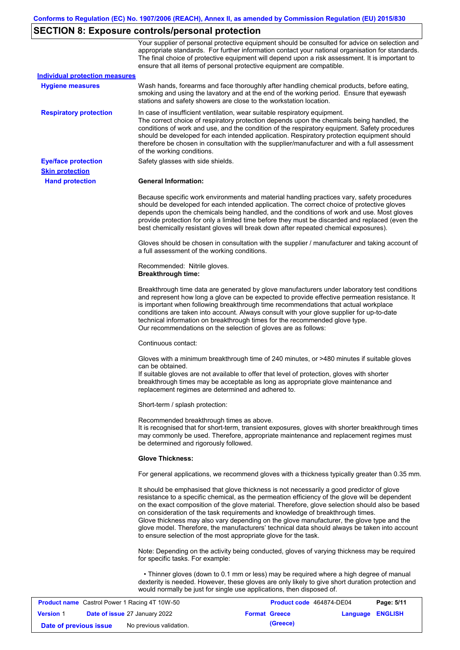# **SECTION 8: Exposure controls/personal protection**

| <b>Version 1</b>                                 | Date of issue 27 January 2022                        |                                                                                                                                                                                                                                                                                                                                                                                                                                                                                                                                                                                                                                                   | <b>Format Greece</b>     | Language | <b>ENGLISH</b> |
|--------------------------------------------------|------------------------------------------------------|---------------------------------------------------------------------------------------------------------------------------------------------------------------------------------------------------------------------------------------------------------------------------------------------------------------------------------------------------------------------------------------------------------------------------------------------------------------------------------------------------------------------------------------------------------------------------------------------------------------------------------------------------|--------------------------|----------|----------------|
|                                                  | <b>Product name</b> Castrol Power 1 Racing 4T 10W-50 | dexterity is needed. However, these gloves are only likely to give short duration protection and<br>would normally be just for single use applications, then disposed of.                                                                                                                                                                                                                                                                                                                                                                                                                                                                         | Product code 464874-DE04 |          | Page: 5/11     |
|                                                  |                                                      | Note: Depending on the activity being conducted, gloves of varying thickness may be required<br>for specific tasks. For example:<br>• Thinner gloves (down to 0.1 mm or less) may be required where a high degree of manual                                                                                                                                                                                                                                                                                                                                                                                                                       |                          |          |                |
|                                                  |                                                      | It should be emphasised that glove thickness is not necessarily a good predictor of glove<br>resistance to a specific chemical, as the permeation efficiency of the glove will be dependent<br>on the exact composition of the glove material. Therefore, glove selection should also be based<br>on consideration of the task requirements and knowledge of breakthrough times.<br>Glove thickness may also vary depending on the glove manufacturer, the glove type and the<br>glove model. Therefore, the manufacturers' technical data should always be taken into account<br>to ensure selection of the most appropriate glove for the task. |                          |          |                |
|                                                  |                                                      | For general applications, we recommend gloves with a thickness typically greater than 0.35 mm.                                                                                                                                                                                                                                                                                                                                                                                                                                                                                                                                                    |                          |          |                |
|                                                  |                                                      | <b>Glove Thickness:</b>                                                                                                                                                                                                                                                                                                                                                                                                                                                                                                                                                                                                                           |                          |          |                |
|                                                  |                                                      | be determined and rigorously followed.                                                                                                                                                                                                                                                                                                                                                                                                                                                                                                                                                                                                            |                          |          |                |
|                                                  |                                                      | Recommended breakthrough times as above.<br>It is recognised that for short-term, transient exposures, gloves with shorter breakthrough times<br>may commonly be used. Therefore, appropriate maintenance and replacement regimes must                                                                                                                                                                                                                                                                                                                                                                                                            |                          |          |                |
|                                                  |                                                      | Short-term / splash protection:                                                                                                                                                                                                                                                                                                                                                                                                                                                                                                                                                                                                                   |                          |          |                |
|                                                  |                                                      | Gloves with a minimum breakthrough time of 240 minutes, or >480 minutes if suitable gloves<br>can be obtained.<br>If suitable gloves are not available to offer that level of protection, gloves with shorter<br>breakthrough times may be acceptable as long as appropriate glove maintenance and<br>replacement regimes are determined and adhered to.                                                                                                                                                                                                                                                                                          |                          |          |                |
|                                                  |                                                      | Continuous contact:                                                                                                                                                                                                                                                                                                                                                                                                                                                                                                                                                                                                                               |                          |          |                |
|                                                  |                                                      | Breakthrough time data are generated by glove manufacturers under laboratory test conditions<br>and represent how long a glove can be expected to provide effective permeation resistance. It<br>is important when following breakthrough time recommendations that actual workplace<br>conditions are taken into account. Always consult with your glove supplier for up-to-date<br>technical information on breakthrough times for the recommended glove type.<br>Our recommendations on the selection of gloves are as follows:                                                                                                                |                          |          |                |
|                                                  |                                                      | Recommended: Nitrile gloves.<br><b>Breakthrough time:</b>                                                                                                                                                                                                                                                                                                                                                                                                                                                                                                                                                                                         |                          |          |                |
|                                                  |                                                      | Gloves should be chosen in consultation with the supplier / manufacturer and taking account of<br>a full assessment of the working conditions.                                                                                                                                                                                                                                                                                                                                                                                                                                                                                                    |                          |          |                |
|                                                  |                                                      | Because specific work environments and material handling practices vary, safety procedures<br>should be developed for each intended application. The correct choice of protective gloves<br>depends upon the chemicals being handled, and the conditions of work and use. Most gloves<br>provide protection for only a limited time before they must be discarded and replaced (even the<br>best chemically resistant gloves will break down after repeated chemical exposures).                                                                                                                                                                  |                          |          |                |
| <b>Skin protection</b><br><b>Hand protection</b> |                                                      | <b>General Information:</b>                                                                                                                                                                                                                                                                                                                                                                                                                                                                                                                                                                                                                       |                          |          |                |
| <b>Eye/face protection</b>                       |                                                      | Safety glasses with side shields.                                                                                                                                                                                                                                                                                                                                                                                                                                                                                                                                                                                                                 |                          |          |                |
| <b>Respiratory protection</b>                    |                                                      | In case of insufficient ventilation, wear suitable respiratory equipment.<br>The correct choice of respiratory protection depends upon the chemicals being handled, the<br>conditions of work and use, and the condition of the respiratory equipment. Safety procedures<br>should be developed for each intended application. Respiratory protection equipment should<br>therefore be chosen in consultation with the supplier/manufacturer and with a full assessment<br>of the working conditions.                                                                                                                                             |                          |          |                |
| <b>Hygiene measures</b>                          |                                                      | Wash hands, forearms and face thoroughly after handling chemical products, before eating,<br>smoking and using the lavatory and at the end of the working period. Ensure that eyewash<br>stations and safety showers are close to the workstation location.                                                                                                                                                                                                                                                                                                                                                                                       |                          |          |                |
|                                                  | <b>Individual protection measures</b>                |                                                                                                                                                                                                                                                                                                                                                                                                                                                                                                                                                                                                                                                   |                          |          |                |
|                                                  |                                                      | Your supplier of personal protective equipment should be consulted for advice on selection and<br>appropriate standards. For further information contact your national organisation for standards.<br>The final choice of protective equipment will depend upon a risk assessment. It is important to<br>ensure that all items of personal protective equipment are compatible.                                                                                                                                                                                                                                                                   |                          |          |                |

**Date of previous issue** No previous validation. **All in the Contract of Structure (Greece)**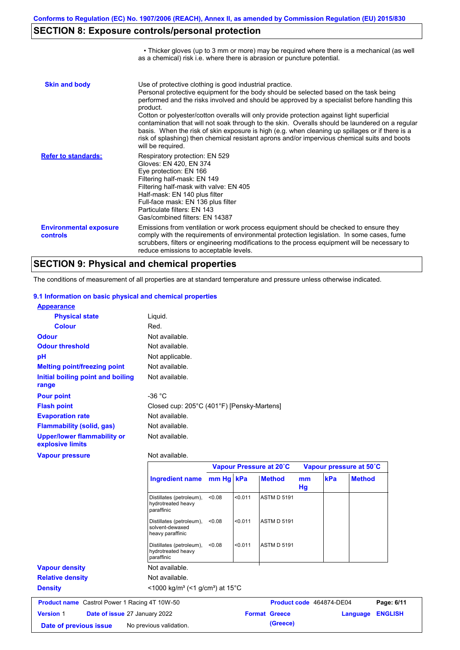• Thicker gloves (up to 3 mm or more) may be required where there is a mechanical (as well

# **SECTION 8: Exposure controls/personal protection**

|                                           | as a chemical) risk i.e. where there is abrasion or puncture potential.                                                                                                                                                                                                                                                                                                                                                                                                                                                                                                                                                                                                               |
|-------------------------------------------|---------------------------------------------------------------------------------------------------------------------------------------------------------------------------------------------------------------------------------------------------------------------------------------------------------------------------------------------------------------------------------------------------------------------------------------------------------------------------------------------------------------------------------------------------------------------------------------------------------------------------------------------------------------------------------------|
| <b>Skin and body</b>                      | Use of protective clothing is good industrial practice.<br>Personal protective equipment for the body should be selected based on the task being<br>performed and the risks involved and should be approved by a specialist before handling this<br>product.<br>Cotton or polyester/cotton overalls will only provide protection against light superficial<br>contamination that will not soak through to the skin. Overalls should be laundered on a regular<br>basis. When the risk of skin exposure is high (e.g. when cleaning up spillages or if there is a<br>risk of splashing) then chemical resistant aprons and/or impervious chemical suits and boots<br>will be required. |
| <b>Refer to standards:</b>                | Respiratory protection: EN 529<br>Gloves: EN 420, EN 374<br>Eye protection: EN 166<br>Filtering half-mask: EN 149<br>Filtering half-mask with valve: EN 405<br>Half-mask: EN 140 plus filter<br>Full-face mask: EN 136 plus filter<br>Particulate filters: EN 143<br>Gas/combined filters: EN 14387                                                                                                                                                                                                                                                                                                                                                                                   |
| <b>Environmental exposure</b><br>controls | Emissions from ventilation or work process equipment should be checked to ensure they<br>comply with the requirements of environmental protection legislation. In some cases, fume<br>scrubbers, filters or engineering modifications to the process equipment will be necessary to<br>reduce emissions to acceptable levels.                                                                                                                                                                                                                                                                                                                                                         |

# **SECTION 9: Physical and chemical properties**

The conditions of measurement of all properties are at standard temperature and pressure unless otherwise indicated.

#### **9.1 Information on basic physical and chemical properties**

| <b>Appearance</b>                               |                                            |
|-------------------------------------------------|--------------------------------------------|
| <b>Physical state</b>                           | Liguid.                                    |
| <b>Colour</b>                                   | Red.                                       |
| <b>Odour</b>                                    | Not available.                             |
| <b>Odour threshold</b>                          | Not available.                             |
| pH                                              | Not applicable.                            |
| <b>Melting point/freezing point</b>             | Not available.                             |
| Initial boiling point and boiling<br>range      | Not available.                             |
| <b>Pour point</b>                               | -36 °C                                     |
| <b>Flash point</b>                              | Closed cup: 205°C (401°F) [Pensky-Martens] |
| <b>Evaporation rate</b>                         | Not available.                             |
| <b>Flammability (solid, gas)</b>                | Not available.                             |
| Upper/lower flammability or<br>explosive limits | Not available.                             |

#### **Vapour pressure**

Not available.

|                                                          |                                                                      | Vapour Pressure at 20°C |         | Vapour pressure at 50°C |          |                          |               |                |
|----------------------------------------------------------|----------------------------------------------------------------------|-------------------------|---------|-------------------------|----------|--------------------------|---------------|----------------|
|                                                          | Ingredient name mm Hg   kPa                                          |                         |         | <b>Method</b>           | mm<br>Hg | kPa                      | <b>Method</b> |                |
|                                                          | Distillates (petroleum),<br>hydrotreated heavy<br>paraffinic         | < 0.08                  | < 0.011 | <b>ASTM D 5191</b>      |          |                          |               |                |
|                                                          | Distillates (petroleum),<br>solvent-dewaxed<br>heavy paraffinic      | < 0.08                  | < 0.011 | <b>ASTM D 5191</b>      |          |                          |               |                |
|                                                          | Distillates (petroleum),<br>hydrotreated heavy<br>paraffinic         | < 0.08                  | < 0.011 | <b>ASTM D 5191</b>      |          |                          |               |                |
| <b>Vapour density</b>                                    | Not available.                                                       |                         |         |                         |          |                          |               |                |
| <b>Relative density</b>                                  | Not available.                                                       |                         |         |                         |          |                          |               |                |
| <b>Density</b>                                           | <1000 kg/m <sup>3</sup> (<1 g/cm <sup>3</sup> ) at 15 <sup>°</sup> C |                         |         |                         |          |                          |               |                |
| <b>Product name</b> Castrol Power 1 Racing 4T 10W-50     |                                                                      |                         |         |                         |          | Product code 464874-DE04 |               | Page: 6/11     |
| <b>Version 1</b><br><b>Date of issue 27 January 2022</b> |                                                                      |                         |         | <b>Format Greece</b>    |          |                          | Language      | <b>ENGLISH</b> |
| Date of previous issue                                   | No previous validation.                                              |                         |         | (Greece)                |          |                          |               |                |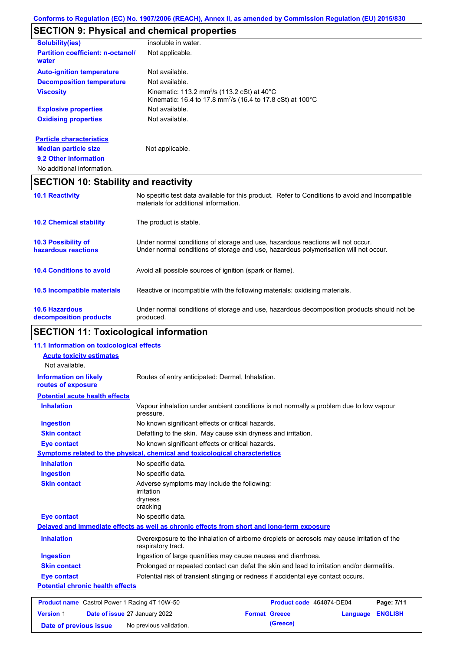# **SECTION 9: Physical and chemical properties**

| <b>Solubility(ies)</b>                            | insoluble in water.                                                                                                                         |
|---------------------------------------------------|---------------------------------------------------------------------------------------------------------------------------------------------|
| <b>Partition coefficient: n-octanol/</b><br>water | Not applicable.                                                                                                                             |
| <b>Auto-ignition temperature</b>                  | Not available.                                                                                                                              |
| <b>Decomposition temperature</b>                  | Not available.                                                                                                                              |
| <b>Viscosity</b>                                  | Kinematic: 113.2 mm <sup>2</sup> /s (113.2 cSt) at $40^{\circ}$ C<br>Kinematic: 16.4 to 17.8 mm <sup>2</sup> /s (16.4 to 17.8 cSt) at 100°C |
| <b>Explosive properties</b>                       | Not available.                                                                                                                              |
| <b>Oxidising properties</b>                       | Not available.                                                                                                                              |
| <b>Particle characteristics</b>                   |                                                                                                                                             |
| <b>Median particle size</b>                       | Not applicable.                                                                                                                             |
| 9.2 Other information                             |                                                                                                                                             |

No additional information.

# **SECTION 10: Stability and reactivity**

| <b>10.1 Reactivity</b>                            | No specific test data available for this product. Refer to Conditions to avoid and Incompatible<br>materials for additional information.                                |  |  |
|---------------------------------------------------|-------------------------------------------------------------------------------------------------------------------------------------------------------------------------|--|--|
| <b>10.2 Chemical stability</b>                    | The product is stable.                                                                                                                                                  |  |  |
| <b>10.3 Possibility of</b><br>hazardous reactions | Under normal conditions of storage and use, hazardous reactions will not occur.<br>Under normal conditions of storage and use, hazardous polymerisation will not occur. |  |  |
| <b>10.4 Conditions to avoid</b>                   | Avoid all possible sources of ignition (spark or flame).                                                                                                                |  |  |
| <b>10.5 Incompatible materials</b>                | Reactive or incompatible with the following materials: oxidising materials.                                                                                             |  |  |
| <b>10.6 Hazardous</b><br>decomposition products   | Under normal conditions of storage and use, hazardous decomposition products should not be<br>produced.                                                                 |  |  |

# **SECTION 11: Toxicological information**

|                                                    | 11.1 Information on toxicological effects                                                  |                                                                                             |                 |                |  |
|----------------------------------------------------|--------------------------------------------------------------------------------------------|---------------------------------------------------------------------------------------------|-----------------|----------------|--|
| <b>Acute toxicity estimates</b>                    |                                                                                            |                                                                                             |                 |                |  |
| Not available.                                     |                                                                                            |                                                                                             |                 |                |  |
| <b>Information on likely</b><br>routes of exposure | Routes of entry anticipated: Dermal, Inhalation.                                           |                                                                                             |                 |                |  |
| <b>Potential acute health effects</b>              |                                                                                            |                                                                                             |                 |                |  |
| <b>Inhalation</b>                                  | pressure.                                                                                  | Vapour inhalation under ambient conditions is not normally a problem due to low vapour      |                 |                |  |
| <b>Ingestion</b>                                   | No known significant effects or critical hazards.                                          |                                                                                             |                 |                |  |
| <b>Skin contact</b>                                | Defatting to the skin. May cause skin dryness and irritation.                              |                                                                                             |                 |                |  |
| <b>Eye contact</b>                                 |                                                                                            | No known significant effects or critical hazards.                                           |                 |                |  |
|                                                    | Symptoms related to the physical, chemical and toxicological characteristics               |                                                                                             |                 |                |  |
| <b>Inhalation</b>                                  | No specific data.                                                                          |                                                                                             |                 |                |  |
| <b>Ingestion</b>                                   | No specific data.                                                                          |                                                                                             |                 |                |  |
| <b>Skin contact</b>                                | Adverse symptoms may include the following:<br><i>irritation</i><br>dryness<br>cracking    |                                                                                             |                 |                |  |
| <b>Eye contact</b>                                 | No specific data.                                                                          |                                                                                             |                 |                |  |
|                                                    | Delayed and immediate effects as well as chronic effects from short and long-term exposure |                                                                                             |                 |                |  |
| <b>Inhalation</b>                                  | respiratory tract.                                                                         | Overexposure to the inhalation of airborne droplets or aerosols may cause irritation of the |                 |                |  |
| <b>Ingestion</b>                                   |                                                                                            | Ingestion of large quantities may cause nausea and diarrhoea.                               |                 |                |  |
| <b>Skin contact</b>                                |                                                                                            | Prolonged or repeated contact can defat the skin and lead to irritation and/or dermatitis.  |                 |                |  |
| <b>Eye contact</b>                                 |                                                                                            | Potential risk of transient stinging or redness if accidental eye contact occurs.           |                 |                |  |
| <b>Potential chronic health effects</b>            |                                                                                            |                                                                                             |                 |                |  |
|                                                    | <b>Product name</b> Castrol Power 1 Racing 4T 10W-50                                       | Product code 464874-DE04                                                                    |                 | Page: 7/11     |  |
| <b>Version 1</b>                                   | Date of issue 27 January 2022                                                              | <b>Format Greece</b>                                                                        | <b>Language</b> | <b>ENGLISH</b> |  |

**Date of previous issue** No previous validation. **Conservation** (Greece)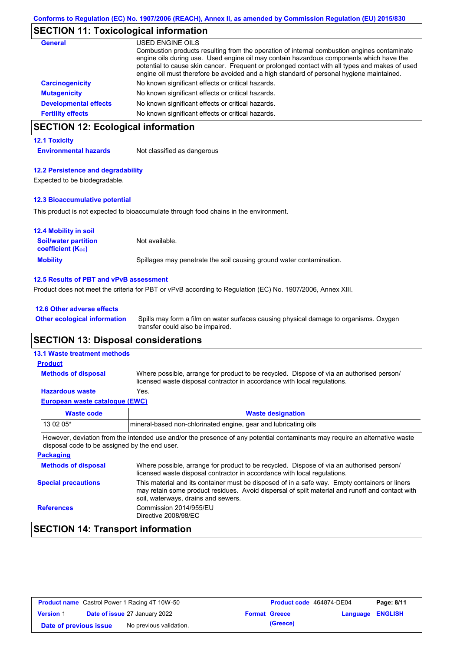## **SECTION 11: Toxicological information**

| General                      | USED ENGINE OILS<br>Combustion products resulting from the operation of internal combustion engines contaminate<br>engine oils during use. Used engine oil may contain hazardous components which have the<br>potential to cause skin cancer. Frequent or prolonged contact with all types and makes of used<br>engine oil must therefore be avoided and a high standard of personal hygiene maintained. |
|------------------------------|----------------------------------------------------------------------------------------------------------------------------------------------------------------------------------------------------------------------------------------------------------------------------------------------------------------------------------------------------------------------------------------------------------|
| <b>Carcinogenicity</b>       | No known significant effects or critical hazards.                                                                                                                                                                                                                                                                                                                                                        |
| <b>Mutagenicity</b>          | No known significant effects or critical hazards.                                                                                                                                                                                                                                                                                                                                                        |
| <b>Developmental effects</b> | No known significant effects or critical hazards.                                                                                                                                                                                                                                                                                                                                                        |
| <b>Fertility effects</b>     | No known significant effects or critical hazards.                                                                                                                                                                                                                                                                                                                                                        |

# **SECTION 12: Ecological information**

### **12.1 Toxicity**

**Environmental hazards** Not classified as dangerous

### **12.2 Persistence and degradability**

Expected to be biodegradable.

#### **12.3 Bioaccumulative potential**

This product is not expected to bioaccumulate through food chains in the environment.

| <b>12.4 Mobility in soil</b>                            |                                                                      |
|---------------------------------------------------------|----------------------------------------------------------------------|
| <b>Soil/water partition</b><br><b>coefficient (Koc)</b> | Not available.                                                       |
| <b>Mobility</b>                                         | Spillages may penetrate the soil causing ground water contamination. |

#### **12.5 Results of PBT and vPvB assessment**

Product does not meet the criteria for PBT or vPvB according to Regulation (EC) No. 1907/2006, Annex XIII.

| 12.6 Other adverse effects          |                   |
|-------------------------------------|-------------------|
| <b>Other ecological information</b> | Spills may form a |

Spills may form a film on water surfaces causing physical damage to organisms. Oxygen transfer could also be impaired.

## **SECTION 13: Disposal considerations**

### **13.1 Waste treatment methods**

**Methods of disposal**

**Product**

Where possible, arrange for product to be recycled. Dispose of via an authorised person/ licensed waste disposal contractor in accordance with local regulations.

### **Hazardous waste** Yes.

| European waste catalogue (EWC) |                          |
|--------------------------------|--------------------------|
| Waste code                     | <b>Waste designation</b> |

13 02 05\* mineral-based non-chlorinated engine, gear and lubricating oils However, deviation from the intended use and/or the presence of any potential contaminants may require an alternative waste

| <b>Packaging</b>           |                                                                                                                                                                                                                                         |
|----------------------------|-----------------------------------------------------------------------------------------------------------------------------------------------------------------------------------------------------------------------------------------|
| <b>Methods of disposal</b> | Where possible, arrange for product to be recycled. Dispose of via an authorised person/<br>licensed waste disposal contractor in accordance with local regulations.                                                                    |
| <b>Special precautions</b> | This material and its container must be disposed of in a safe way. Empty containers or liners<br>may retain some product residues. Avoid dispersal of spilt material and runoff and contact with<br>soil, waterways, drains and sewers. |
| <b>References</b>          | Commission 2014/955/EU<br>Directive 2008/98/EC                                                                                                                                                                                          |

# **SECTION 14: Transport information**

disposal code to be assigned by the end user.

| <b>Product name</b> Castrol Power 1 Racing 4T 10W-50 |  | Product code 464874-DE04             |  | Page: 8/11           |                         |  |
|------------------------------------------------------|--|--------------------------------------|--|----------------------|-------------------------|--|
| <b>Version 1</b>                                     |  | <b>Date of issue 27 January 2022</b> |  | <b>Format Greece</b> | <b>Language ENGLISH</b> |  |
| Date of previous issue                               |  | No previous validation.              |  | (Greece)             |                         |  |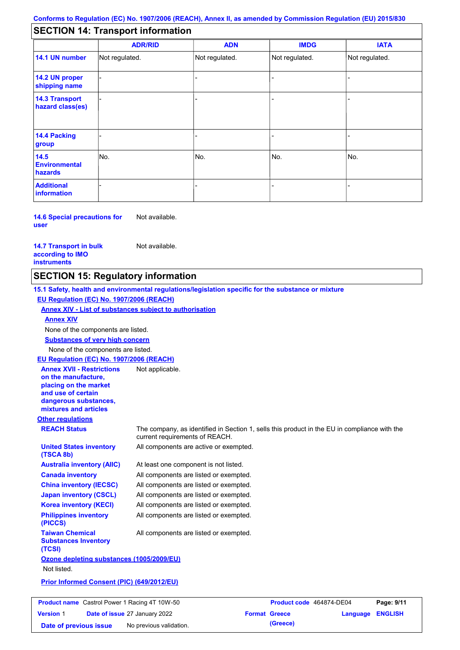# **SECTION 14: Transport information**

|                                           | <b>ADR/RID</b> | <b>ADN</b>     | <b>IMDG</b>    | <b>IATA</b>    |  |  |
|-------------------------------------------|----------------|----------------|----------------|----------------|--|--|
| 14.1 UN number                            | Not regulated. | Not regulated. | Not regulated. | Not regulated. |  |  |
| 14.2 UN proper<br>shipping name           |                |                |                |                |  |  |
| <b>14.3 Transport</b><br>hazard class(es) |                |                |                |                |  |  |
| 14.4 Packing<br>group                     |                |                | -              |                |  |  |
| 14.5<br><b>Environmental</b><br>hazards   | No.            | No.            | No.            | No.            |  |  |
| <b>Additional</b><br>information          |                |                |                |                |  |  |

**14.6 Special precautions for user** Not available.

**14.7 Transport in bulk according to IMO instruments**

Not available.

## **SECTION 15: Regulatory information**

**Other regulations REACH Status** The company, as identified in Section 1, sells this product in the EU in compliance with the current requirements of REACH. **15.1 Safety, health and environmental regulations/legislation specific for the substance or mixture EU Regulation (EC) No. 1907/2006 (REACH) Annex XIV - List of substances subject to authorisation Substances of very high concern** None of the components are listed. At least one component is not listed. All components are listed or exempted. All components are listed or exempted. All components are listed or exempted. All components are active or exempted. All components are listed or exempted. All components are listed or exempted. **United States inventory (TSCA 8b) Australia inventory (AIIC) Canada inventory China inventory (IECSC) Japan inventory (CSCL) Korea inventory (KECI) Philippines inventory (PICCS) Taiwan Chemical Substances Inventory (TCSI)** All components are listed or exempted. **Ozone depleting substances (1005/2009/EU)** Not listed. **Prior Informed Consent (PIC) (649/2012/EU)** None of the components are listed. **Annex XIV EU Regulation (EC) No. 1907/2006 (REACH) Annex XVII - Restrictions on the manufacture, placing on the market and use of certain dangerous substances, mixtures and articles** Not applicable.

| <b>Product name</b> Castrol Power 1 Racing 4T 10W-50 |  | Product code 464874-DE04             |                      | Page: 9/11 |                         |  |
|------------------------------------------------------|--|--------------------------------------|----------------------|------------|-------------------------|--|
| <b>Version 1</b>                                     |  | <b>Date of issue 27 January 2022</b> | <b>Format Greece</b> |            | <b>Language ENGLISH</b> |  |
| Date of previous issue                               |  | No previous validation.              |                      | (Greece)   |                         |  |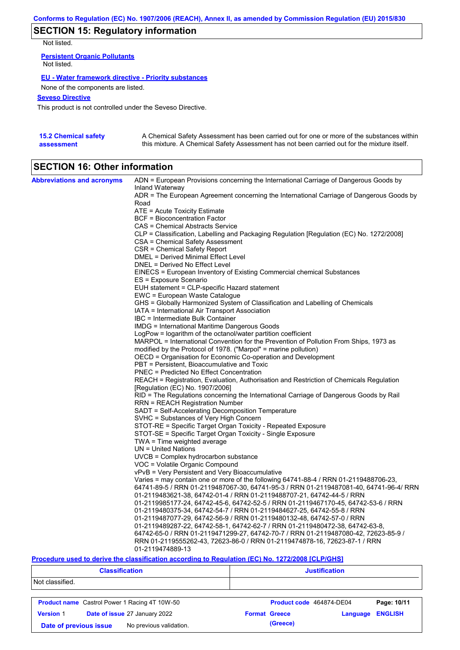# **SECTION 15: Regulatory information**

Not listed.

**Persistent Organic Pollutants** Not listed.

### **EU - Water framework directive - Priority substances**

None of the components are listed.

### **Seveso Directive**

This product is not controlled under the Seveso Directive.

| <b>15.2 Chemical safety</b> | A Chemical Safety Assessment has been carried out for one or more of the substances within  |
|-----------------------------|---------------------------------------------------------------------------------------------|
| assessment                  | this mixture. A Chemical Safety Assessment has not been carried out for the mixture itself. |

# **SECTION 16: Other information**

| <b>Abbreviations and acronyms</b> | ADN = European Provisions concerning the International Carriage of Dangerous Goods by<br>Inland Waterway                  |
|-----------------------------------|---------------------------------------------------------------------------------------------------------------------------|
|                                   | ADR = The European Agreement concerning the International Carriage of Dangerous Goods by<br>Road                          |
|                                   | ATE = Acute Toxicity Estimate                                                                                             |
|                                   | BCF = Bioconcentration Factor                                                                                             |
|                                   | CAS = Chemical Abstracts Service                                                                                          |
|                                   | CLP = Classification, Labelling and Packaging Regulation [Regulation (EC) No. 1272/2008]                                  |
|                                   | CSA = Chemical Safety Assessment                                                                                          |
|                                   | CSR = Chemical Safety Report                                                                                              |
|                                   | DMEL = Derived Minimal Effect Level                                                                                       |
|                                   | DNEL = Derived No Effect Level                                                                                            |
|                                   | EINECS = European Inventory of Existing Commercial chemical Substances                                                    |
|                                   | ES = Exposure Scenario                                                                                                    |
|                                   | EUH statement = CLP-specific Hazard statement                                                                             |
|                                   | EWC = European Waste Catalogue                                                                                            |
|                                   | GHS = Globally Harmonized System of Classification and Labelling of Chemicals                                             |
|                                   | IATA = International Air Transport Association                                                                            |
|                                   | IBC = Intermediate Bulk Container                                                                                         |
|                                   | <b>IMDG</b> = International Maritime Dangerous Goods                                                                      |
|                                   | LogPow = logarithm of the octanol/water partition coefficient                                                             |
|                                   | MARPOL = International Convention for the Prevention of Pollution From Ships, 1973 as                                     |
|                                   | modified by the Protocol of 1978. ("Marpol" = marine pollution)                                                           |
|                                   | OECD = Organisation for Economic Co-operation and Development                                                             |
|                                   | PBT = Persistent, Bioaccumulative and Toxic                                                                               |
|                                   | <b>PNEC</b> = Predicted No Effect Concentration                                                                           |
|                                   | REACH = Registration, Evaluation, Authorisation and Restriction of Chemicals Regulation                                   |
|                                   | [Regulation (EC) No. 1907/2006]<br>RID = The Regulations concerning the International Carriage of Dangerous Goods by Rail |
|                                   | RRN = REACH Registration Number                                                                                           |
|                                   | SADT = Self-Accelerating Decomposition Temperature                                                                        |
|                                   | SVHC = Substances of Very High Concern                                                                                    |
|                                   | STOT-RE = Specific Target Organ Toxicity - Repeated Exposure                                                              |
|                                   | STOT-SE = Specific Target Organ Toxicity - Single Exposure                                                                |
|                                   | $TWA = Time$ weighted average                                                                                             |
|                                   | $UN = United Nations$                                                                                                     |
|                                   | UVCB = Complex hydrocarbon substance                                                                                      |
|                                   | VOC = Volatile Organic Compound                                                                                           |
|                                   | vPvB = Very Persistent and Very Bioaccumulative                                                                           |
|                                   | Varies = may contain one or more of the following $64741-88-4$ / RRN 01-2119488706-23,                                    |
|                                   | 64741-89-5 / RRN 01-2119487067-30, 64741-95-3 / RRN 01-2119487081-40, 64741-96-4/ RRN                                     |
|                                   | 01-2119483621-38, 64742-01-4 / RRN 01-2119488707-21, 64742-44-5 / RRN                                                     |
|                                   | 01-2119985177-24, 64742-45-6, 64742-52-5 / RRN 01-2119467170-45, 64742-53-6 / RRN                                         |
|                                   | 01-2119480375-34, 64742-54-7 / RRN 01-2119484627-25, 64742-55-8 / RRN                                                     |
|                                   | 01-2119487077-29, 64742-56-9 / RRN 01-2119480132-48, 64742-57-0 / RRN                                                     |
|                                   | 01-2119489287-22, 64742-58-1, 64742-62-7 / RRN 01-2119480472-38, 64742-63-8,                                              |
|                                   | 64742-65-0 / RRN 01-2119471299-27, 64742-70-7 / RRN 01-2119487080-42, 72623-85-9 /                                        |
|                                   | RRN 01-2119555262-43, 72623-86-0 / RRN 01-2119474878-16, 72623-87-1 / RRN                                                 |
|                                   | 01-2119474889-13                                                                                                          |

### **Procedure used to derive the classification according to Regulation (EC) No. 1272/2008 [CLP/GHS]**

| <b>Classification</b>                             |                                                      | <b>Justification</b>     |          |                |
|---------------------------------------------------|------------------------------------------------------|--------------------------|----------|----------------|
| Not classified.                                   |                                                      |                          |          |                |
|                                                   | <b>Product name</b> Castrol Power 1 Racing 4T 10W-50 | Product code 464874-DE04 |          | Page: 10/11    |
| <b>Version 1</b>                                  | Date of issue 27 January 2022                        | <b>Format Greece</b>     | Language | <b>ENGLISH</b> |
| No previous validation.<br>Date of previous issue |                                                      | (Greece)                 |          |                |